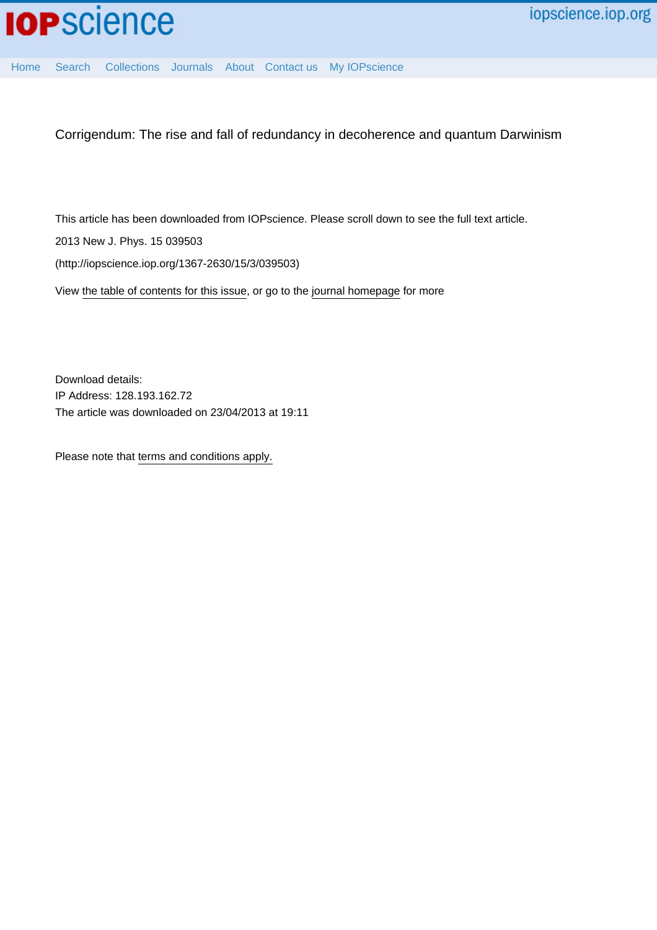

[Home](http://iopscience.iop.org/) [Search](http://iopscience.iop.org/search) [Collections](http://iopscience.iop.org/collections) [Journals](http://iopscience.iop.org/journals) [About](http://iopscience.iop.org/page/aboutioppublishing) [Contact us](http://iopscience.iop.org/contact) [My IOPscience](http://iopscience.iop.org/myiopscience)

Corrigendum: The rise and fall of redundancy in decoherence and quantum Darwinism

This article has been downloaded from IOPscience. Please scroll down to see the full text article.

2013 New J. Phys. 15 039503

(http://iopscience.iop.org/1367-2630/15/3/039503)

View [the table of contents for this issue](http://iopscience.iop.org/1367-2630/15/3), or go to the [journal homepage](http://iopscience.iop.org/1367-2630) for more

Download details: IP Address: 128.193.162.72 The article was downloaded on 23/04/2013 at 19:11

Please note that [terms and conditions apply.](http://iopscience.iop.org/page/terms)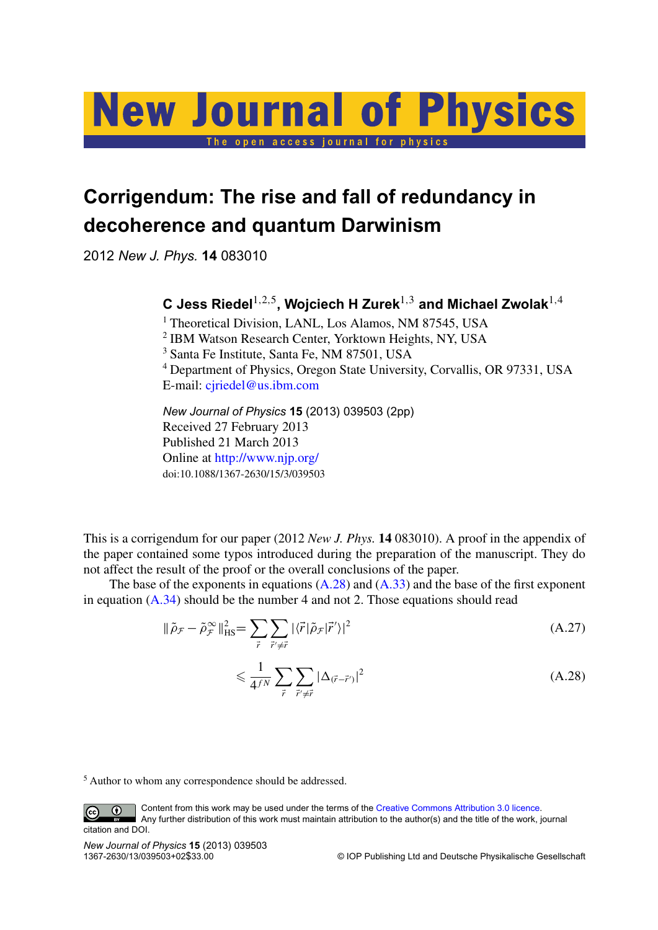

## **Corrigendum: The rise and fall of redundancy in decoherence and quantum Darwinism**

2012 *New J. Phys.* **14** 083010

## **C Jess Riedel**1,2,<sup>5</sup> **, Wojciech H Zurek**1,<sup>3</sup> **and Michael Zwolak**1,<sup>4</sup>

<sup>1</sup> Theoretical Division, LANL, Los Alamos, NM 87545, USA 2 IBM Watson Research Center, Yorktown Heights, NY, USA <sup>3</sup> Santa Fe Institute, Santa Fe, NM 87501, USA <sup>4</sup> Department of Physics, Oregon State University, Corvallis, OR 97331, USA E-mail: [cjriedel@us.ibm.com](mailto:cjriedel@us.ibm.com)

*New Journal of Physics* **15** (2013) 039503 (2pp) Received 27 February 2013 Published 21 March 2013 Online at <http://www.njp.org/> doi:10.1088/1367-2630/15/3/039503

This is a corrigendum for our paper (2012 *New J. Phys.* **14** 083010). A proof in the appendix of the paper contained some typos introduced during the preparation of the manuscript. They do not affect the result of the proof or the overall conclusions of the paper.

The base of the exponents in equations  $(A.28)$  and  $(A.33)$  and the base of the first exponent in equation  $(A.34)$  should be the number 4 and not 2. Those equations should read

$$
\|\tilde{\rho}_{\mathcal{F}} - \tilde{\rho}_{\mathcal{F}}^{\infty}\|_{\text{HS}}^2 = \sum_{\vec{r}} \sum_{\vec{r}' \neq \vec{r}} |\langle \vec{r} | \tilde{\rho}_{\mathcal{F}} | \vec{r}' \rangle|^2 \tag{A.27}
$$

$$
\leqslant \frac{1}{4^{fN}} \sum_{\vec{r}} \sum_{\vec{r}' \neq \vec{r}} |\Delta_{(\vec{r} - \vec{r}')}|^2
$$
\n(A.28)

<sup>5</sup> Author to whom any correspondence should be addressed.

Content from this work may be used under the terms of the [Creative Commons Attribution 3.0 licence.](http://creativecommons.org/licenses/by/3.0)  $\odot$ Any further distribution of this work must maintain attribution to the author(s) and the title of the work, journal citation and DOI.

*New Journal of Physics* **15** (2013) 039503

 $©$  IOP Publishing Ltd and Deutsche Physikalische Gesellschaft